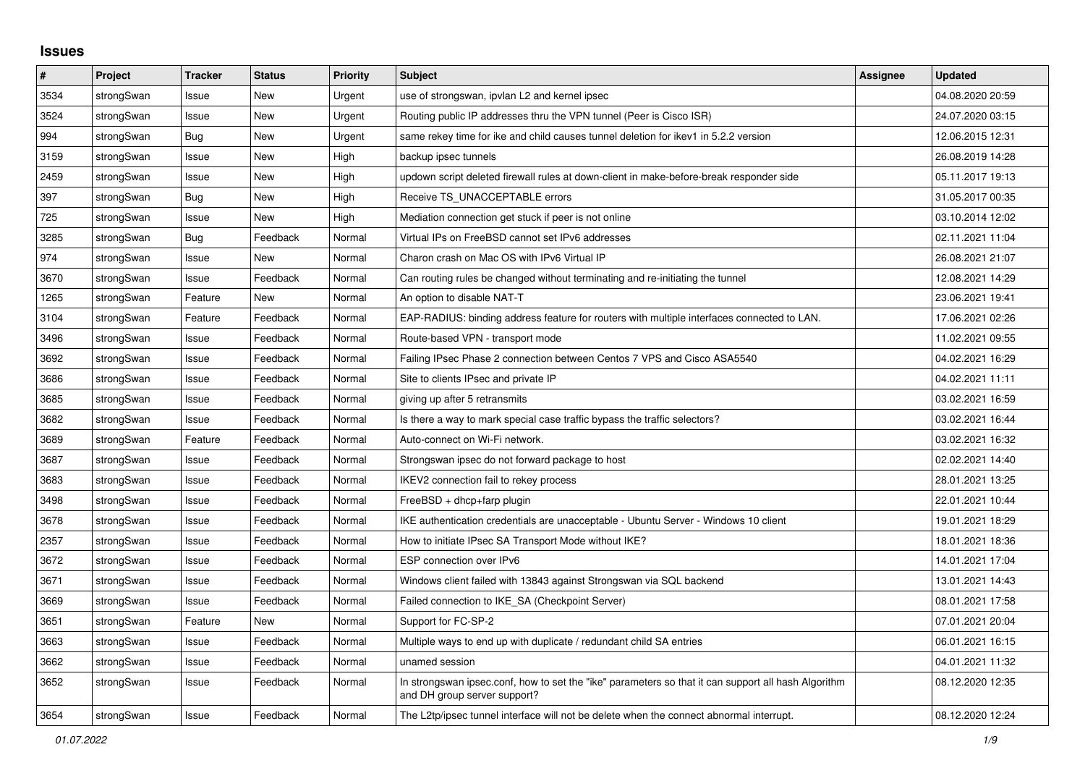## **Issues**

| #    | Project    | <b>Tracker</b> | <b>Status</b> | <b>Priority</b> | <b>Subject</b>                                                                                                                      | Assignee | <b>Updated</b>   |
|------|------------|----------------|---------------|-----------------|-------------------------------------------------------------------------------------------------------------------------------------|----------|------------------|
| 3534 | strongSwan | Issue          | New           | Urgent          | use of strongswan, ipvlan L2 and kernel ipsec                                                                                       |          | 04.08.2020 20:59 |
| 3524 | strongSwan | Issue          | <b>New</b>    | Urgent          | Routing public IP addresses thru the VPN tunnel (Peer is Cisco ISR)                                                                 |          | 24.07.2020 03:15 |
| 994  | strongSwan | Bug            | <b>New</b>    | Urgent          | same rekey time for ike and child causes tunnel deletion for ikev1 in 5.2.2 version                                                 |          | 12.06.2015 12:31 |
| 3159 | strongSwan | Issue          | New           | High            | backup ipsec tunnels                                                                                                                |          | 26.08.2019 14:28 |
| 2459 | strongSwan | Issue          | New           | High            | updown script deleted firewall rules at down-client in make-before-break responder side                                             |          | 05.11.2017 19:13 |
| 397  | strongSwan | Bug            | <b>New</b>    | High            | Receive TS_UNACCEPTABLE errors                                                                                                      |          | 31.05.2017 00:35 |
| 725  | strongSwan | Issue          | <b>New</b>    | High            | Mediation connection get stuck if peer is not online                                                                                |          | 03.10.2014 12:02 |
| 3285 | strongSwan | <b>Bug</b>     | Feedback      | Normal          | Virtual IPs on FreeBSD cannot set IPv6 addresses                                                                                    |          | 02.11.2021 11:04 |
| 974  | strongSwan | Issue          | New           | Normal          | Charon crash on Mac OS with IPv6 Virtual IP                                                                                         |          | 26.08.2021 21:07 |
| 3670 | strongSwan | Issue          | Feedback      | Normal          | Can routing rules be changed without terminating and re-initiating the tunnel                                                       |          | 12.08.2021 14:29 |
| 1265 | strongSwan | Feature        | <b>New</b>    | Normal          | An option to disable NAT-T                                                                                                          |          | 23.06.2021 19:41 |
| 3104 | strongSwan | Feature        | Feedback      | Normal          | EAP-RADIUS: binding address feature for routers with multiple interfaces connected to LAN.                                          |          | 17.06.2021 02:26 |
| 3496 | strongSwan | Issue          | Feedback      | Normal          | Route-based VPN - transport mode                                                                                                    |          | 11.02.2021 09:55 |
| 3692 | strongSwan | Issue          | Feedback      | Normal          | Failing IPsec Phase 2 connection between Centos 7 VPS and Cisco ASA5540                                                             |          | 04.02.2021 16:29 |
| 3686 | strongSwan | Issue          | Feedback      | Normal          | Site to clients IPsec and private IP                                                                                                |          | 04.02.2021 11:11 |
| 3685 | strongSwan | Issue          | Feedback      | Normal          | giving up after 5 retransmits                                                                                                       |          | 03.02.2021 16:59 |
| 3682 | strongSwan | Issue          | Feedback      | Normal          | Is there a way to mark special case traffic bypass the traffic selectors?                                                           |          | 03.02.2021 16:44 |
| 3689 | strongSwan | Feature        | Feedback      | Normal          | Auto-connect on Wi-Fi network.                                                                                                      |          | 03.02.2021 16:32 |
| 3687 | strongSwan | Issue          | Feedback      | Normal          | Strongswan ipsec do not forward package to host                                                                                     |          | 02.02.2021 14:40 |
| 3683 | strongSwan | Issue          | Feedback      | Normal          | IKEV2 connection fail to rekey process                                                                                              |          | 28.01.2021 13:25 |
| 3498 | strongSwan | Issue          | Feedback      | Normal          | $FreeBSD + dhop + farp plugin$                                                                                                      |          | 22.01.2021 10:44 |
| 3678 | strongSwan | Issue          | Feedback      | Normal          | IKE authentication credentials are unacceptable - Ubuntu Server - Windows 10 client                                                 |          | 19.01.2021 18:29 |
| 2357 | strongSwan | Issue          | Feedback      | Normal          | How to initiate IPsec SA Transport Mode without IKE?                                                                                |          | 18.01.2021 18:36 |
| 3672 | strongSwan | Issue          | Feedback      | Normal          | ESP connection over IPv6                                                                                                            |          | 14.01.2021 17:04 |
| 3671 | strongSwan | Issue          | Feedback      | Normal          | Windows client failed with 13843 against Strongswan via SQL backend                                                                 |          | 13.01.2021 14:43 |
| 3669 | strongSwan | Issue          | Feedback      | Normal          | Failed connection to IKE_SA (Checkpoint Server)                                                                                     |          | 08.01.2021 17:58 |
| 3651 | strongSwan | Feature        | New           | Normal          | Support for FC-SP-2                                                                                                                 |          | 07.01.2021 20:04 |
| 3663 | strongSwan | Issue          | Feedback      | Normal          | Multiple ways to end up with duplicate / redundant child SA entries                                                                 |          | 06.01.2021 16:15 |
| 3662 | strongSwan | Issue          | Feedback      | Normal          | unamed session                                                                                                                      |          | 04.01.2021 11:32 |
| 3652 | strongSwan | Issue          | Feedback      | Normal          | In strongswan ipsec.conf, how to set the "ike" parameters so that it can support all hash Algorithm<br>and DH group server support? |          | 08.12.2020 12:35 |
| 3654 | strongSwan | Issue          | Feedback      | Normal          | The L2tp/ipsec tunnel interface will not be delete when the connect abnormal interrupt.                                             |          | 08.12.2020 12:24 |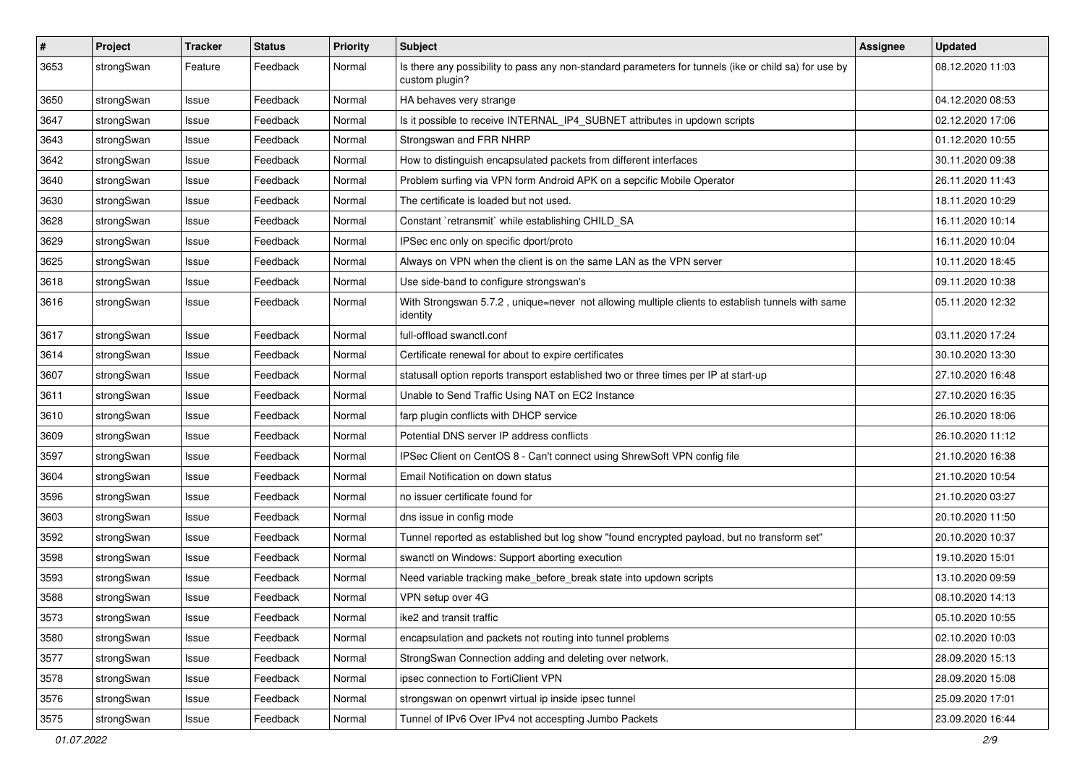| $\pmb{\#}$ | Project    | <b>Tracker</b> | <b>Status</b> | <b>Priority</b> | <b>Subject</b>                                                                                                          | Assignee | <b>Updated</b>   |
|------------|------------|----------------|---------------|-----------------|-------------------------------------------------------------------------------------------------------------------------|----------|------------------|
| 3653       | strongSwan | Feature        | Feedback      | Normal          | Is there any possibility to pass any non-standard parameters for tunnels (ike or child sa) for use by<br>custom plugin? |          | 08.12.2020 11:03 |
| 3650       | strongSwan | Issue          | Feedback      | Normal          | HA behaves very strange                                                                                                 |          | 04.12.2020 08:53 |
| 3647       | strongSwan | Issue          | Feedback      | Normal          | Is it possible to receive INTERNAL_IP4_SUBNET attributes in updown scripts                                              |          | 02.12.2020 17:06 |
| 3643       | strongSwan | Issue          | Feedback      | Normal          | Strongswan and FRR NHRP                                                                                                 |          | 01.12.2020 10:55 |
| 3642       | strongSwan | Issue          | Feedback      | Normal          | How to distinguish encapsulated packets from different interfaces                                                       |          | 30.11.2020 09:38 |
| 3640       | strongSwan | Issue          | Feedback      | Normal          | Problem surfing via VPN form Android APK on a sepcific Mobile Operator                                                  |          | 26.11.2020 11:43 |
| 3630       | strongSwan | Issue          | Feedback      | Normal          | The certificate is loaded but not used.                                                                                 |          | 18.11.2020 10:29 |
| 3628       | strongSwan | lssue          | Feedback      | Normal          | Constant `retransmit` while establishing CHILD SA                                                                       |          | 16.11.2020 10:14 |
| 3629       | strongSwan | Issue          | Feedback      | Normal          | IPSec enc only on specific dport/proto                                                                                  |          | 16.11.2020 10:04 |
| 3625       | strongSwan | Issue          | Feedback      | Normal          | Always on VPN when the client is on the same LAN as the VPN server                                                      |          | 10.11.2020 18:45 |
| 3618       | strongSwan | Issue          | Feedback      | Normal          | Use side-band to configure strongswan's                                                                                 |          | 09.11.2020 10:38 |
| 3616       | strongSwan | Issue          | Feedback      | Normal          | With Strongswan 5.7.2, unique=never not allowing multiple clients to establish tunnels with same<br>identity            |          | 05.11.2020 12:32 |
| 3617       | strongSwan | Issue          | Feedback      | Normal          | full-offload swanctl.conf                                                                                               |          | 03.11.2020 17:24 |
| 3614       | strongSwan | Issue          | Feedback      | Normal          | Certificate renewal for about to expire certificates                                                                    |          | 30.10.2020 13:30 |
| 3607       | strongSwan | Issue          | Feedback      | Normal          | statusall option reports transport established two or three times per IP at start-up                                    |          | 27.10.2020 16:48 |
| 3611       | strongSwan | Issue          | Feedback      | Normal          | Unable to Send Traffic Using NAT on EC2 Instance                                                                        |          | 27.10.2020 16:35 |
| 3610       | strongSwan | Issue          | Feedback      | Normal          | farp plugin conflicts with DHCP service                                                                                 |          | 26.10.2020 18:06 |
| 3609       | strongSwan | Issue          | Feedback      | Normal          | Potential DNS server IP address conflicts                                                                               |          | 26.10.2020 11:12 |
| 3597       | strongSwan | Issue          | Feedback      | Normal          | IPSec Client on CentOS 8 - Can't connect using ShrewSoft VPN config file                                                |          | 21.10.2020 16:38 |
| 3604       | strongSwan | lssue          | Feedback      | Normal          | Email Notification on down status                                                                                       |          | 21.10.2020 10:54 |
| 3596       | strongSwan | Issue          | Feedback      | Normal          | no issuer certificate found for                                                                                         |          | 21.10.2020 03:27 |
| 3603       | strongSwan | Issue          | Feedback      | Normal          | dns issue in config mode                                                                                                |          | 20.10.2020 11:50 |
| 3592       | strongSwan | Issue          | Feedback      | Normal          | Tunnel reported as established but log show "found encrypted payload, but no transform set"                             |          | 20.10.2020 10:37 |
| 3598       | strongSwan | Issue          | Feedback      | Normal          | swanctl on Windows: Support aborting execution                                                                          |          | 19.10.2020 15:01 |
| 3593       | strongSwan | Issue          | Feedback      | Normal          | Need variable tracking make_before_break state into updown scripts                                                      |          | 13.10.2020 09:59 |
| 3588       | strongSwan | Issue          | Feedback      | Normal          | VPN setup over 4G                                                                                                       |          | 08.10.2020 14:13 |
| 3573       | strongSwan | Issue          | Feedback      | Normal          | ike2 and transit traffic                                                                                                |          | 05.10.2020 10:55 |
| 3580       | strongSwan | Issue          | Feedback      | Normal          | encapsulation and packets not routing into tunnel problems                                                              |          | 02.10.2020 10:03 |
| 3577       | strongSwan | Issue          | Feedback      | Normal          | StrongSwan Connection adding and deleting over network.                                                                 |          | 28.09.2020 15:13 |
| 3578       | strongSwan | Issue          | Feedback      | Normal          | ipsec connection to FortiClient VPN                                                                                     |          | 28.09.2020 15:08 |
| 3576       | strongSwan | Issue          | Feedback      | Normal          | strongswan on openwrt virtual ip inside ipsec tunnel                                                                    |          | 25.09.2020 17:01 |
| 3575       | strongSwan | Issue          | Feedback      | Normal          | Tunnel of IPv6 Over IPv4 not accespting Jumbo Packets                                                                   |          | 23.09.2020 16:44 |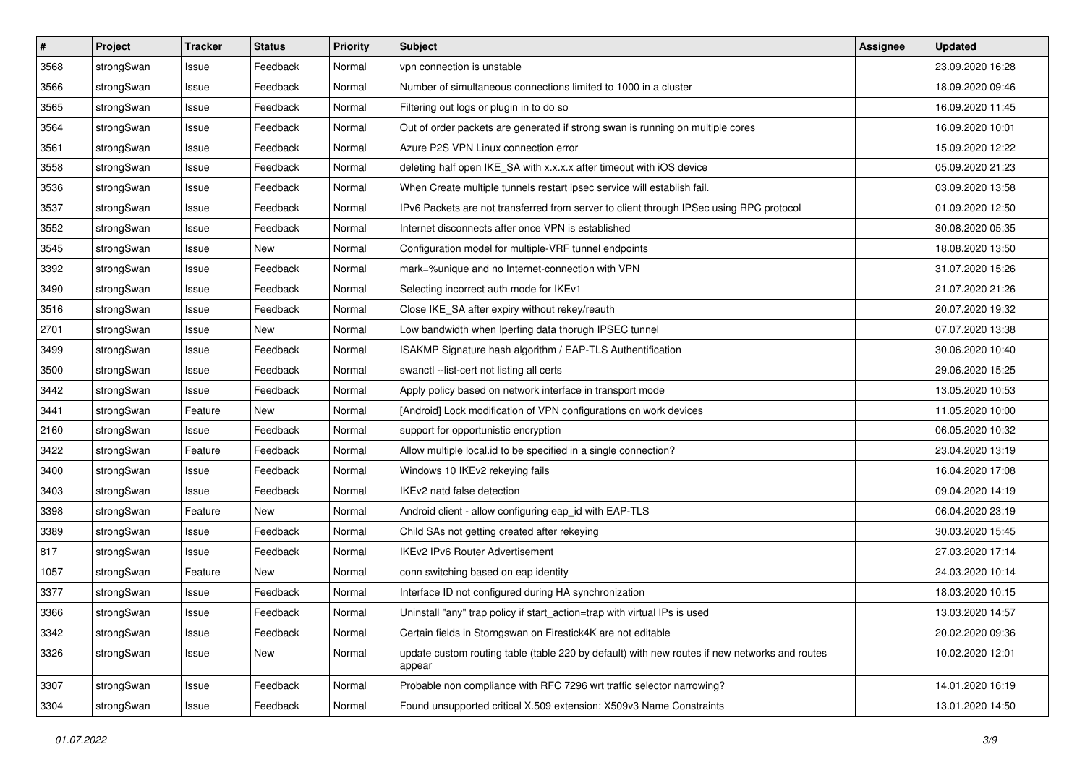| $\pmb{\#}$ | Project    | <b>Tracker</b> | <b>Status</b> | <b>Priority</b> | <b>Subject</b>                                                                                          | <b>Assignee</b> | <b>Updated</b>   |
|------------|------------|----------------|---------------|-----------------|---------------------------------------------------------------------------------------------------------|-----------------|------------------|
| 3568       | strongSwan | Issue          | Feedback      | Normal          | vpn connection is unstable                                                                              |                 | 23.09.2020 16:28 |
| 3566       | strongSwan | Issue          | Feedback      | Normal          | Number of simultaneous connections limited to 1000 in a cluster                                         |                 | 18.09.2020 09:46 |
| 3565       | strongSwan | Issue          | Feedback      | Normal          | Filtering out logs or plugin in to do so                                                                |                 | 16.09.2020 11:45 |
| 3564       | strongSwan | Issue          | Feedback      | Normal          | Out of order packets are generated if strong swan is running on multiple cores                          |                 | 16.09.2020 10:01 |
| 3561       | strongSwan | Issue          | Feedback      | Normal          | Azure P2S VPN Linux connection error                                                                    |                 | 15.09.2020 12:22 |
| 3558       | strongSwan | Issue          | Feedback      | Normal          | deleting half open IKE_SA with x.x.x.x after timeout with iOS device                                    |                 | 05.09.2020 21:23 |
| 3536       | strongSwan | Issue          | Feedback      | Normal          | When Create multiple tunnels restart ipsec service will establish fail.                                 |                 | 03.09.2020 13:58 |
| 3537       | strongSwan | Issue          | Feedback      | Normal          | IPv6 Packets are not transferred from server to client through IPSec using RPC protocol                 |                 | 01.09.2020 12:50 |
| 3552       | strongSwan | Issue          | Feedback      | Normal          | Internet disconnects after once VPN is established                                                      |                 | 30.08.2020 05:35 |
| 3545       | strongSwan | Issue          | New           | Normal          | Configuration model for multiple-VRF tunnel endpoints                                                   |                 | 18.08.2020 13:50 |
| 3392       | strongSwan | Issue          | Feedback      | Normal          | mark=%unique and no Internet-connection with VPN                                                        |                 | 31.07.2020 15:26 |
| 3490       | strongSwan | Issue          | Feedback      | Normal          | Selecting incorrect auth mode for IKEv1                                                                 |                 | 21.07.2020 21:26 |
| 3516       | strongSwan | Issue          | Feedback      | Normal          | Close IKE_SA after expiry without rekey/reauth                                                          |                 | 20.07.2020 19:32 |
| 2701       | strongSwan | Issue          | New           | Normal          | Low bandwidth when Iperfing data thorugh IPSEC tunnel                                                   |                 | 07.07.2020 13:38 |
| 3499       | strongSwan | Issue          | Feedback      | Normal          | ISAKMP Signature hash algorithm / EAP-TLS Authentification                                              |                 | 30.06.2020 10:40 |
| 3500       | strongSwan | Issue          | Feedback      | Normal          | swanctl --list-cert not listing all certs                                                               |                 | 29.06.2020 15:25 |
| 3442       | strongSwan | Issue          | Feedback      | Normal          | Apply policy based on network interface in transport mode                                               |                 | 13.05.2020 10:53 |
| 3441       | strongSwan | Feature        | New           | Normal          | [Android] Lock modification of VPN configurations on work devices                                       |                 | 11.05.2020 10:00 |
| 2160       | strongSwan | Issue          | Feedback      | Normal          | support for opportunistic encryption                                                                    |                 | 06.05.2020 10:32 |
| 3422       | strongSwan | Feature        | Feedback      | Normal          | Allow multiple local.id to be specified in a single connection?                                         |                 | 23.04.2020 13:19 |
| 3400       | strongSwan | Issue          | Feedback      | Normal          | Windows 10 IKEv2 rekeying fails                                                                         |                 | 16.04.2020 17:08 |
| 3403       | strongSwan | Issue          | Feedback      | Normal          | IKEv2 natd false detection                                                                              |                 | 09.04.2020 14:19 |
| 3398       | strongSwan | Feature        | New           | Normal          | Android client - allow configuring eap_id with EAP-TLS                                                  |                 | 06.04.2020 23:19 |
| 3389       | strongSwan | Issue          | Feedback      | Normal          | Child SAs not getting created after rekeying                                                            |                 | 30.03.2020 15:45 |
| 817        | strongSwan | Issue          | Feedback      | Normal          | IKEv2 IPv6 Router Advertisement                                                                         |                 | 27.03.2020 17:14 |
| 1057       | strongSwan | Feature        | New           | Normal          | conn switching based on eap identity                                                                    |                 | 24.03.2020 10:14 |
| 3377       | strongSwan | Issue          | Feedback      | Normal          | Interface ID not configured during HA synchronization                                                   |                 | 18.03.2020 10:15 |
| 3366       | strongSwan | Issue          | Feedback      | Normal          | Uninstall "any" trap policy if start_action=trap with virtual IPs is used                               |                 | 13.03.2020 14:57 |
| 3342       | strongSwan | Issue          | Feedback      | Normal          | Certain fields in Storngswan on Firestick4K are not editable                                            |                 | 20.02.2020 09:36 |
| 3326       | strongSwan | Issue          | New           | Normal          | update custom routing table (table 220 by default) with new routes if new networks and routes<br>appear |                 | 10.02.2020 12:01 |
| 3307       | strongSwan | Issue          | Feedback      | Normal          | Probable non compliance with RFC 7296 wrt traffic selector narrowing?                                   |                 | 14.01.2020 16:19 |
| 3304       | strongSwan | Issue          | Feedback      | Normal          | Found unsupported critical X.509 extension: X509v3 Name Constraints                                     |                 | 13.01.2020 14:50 |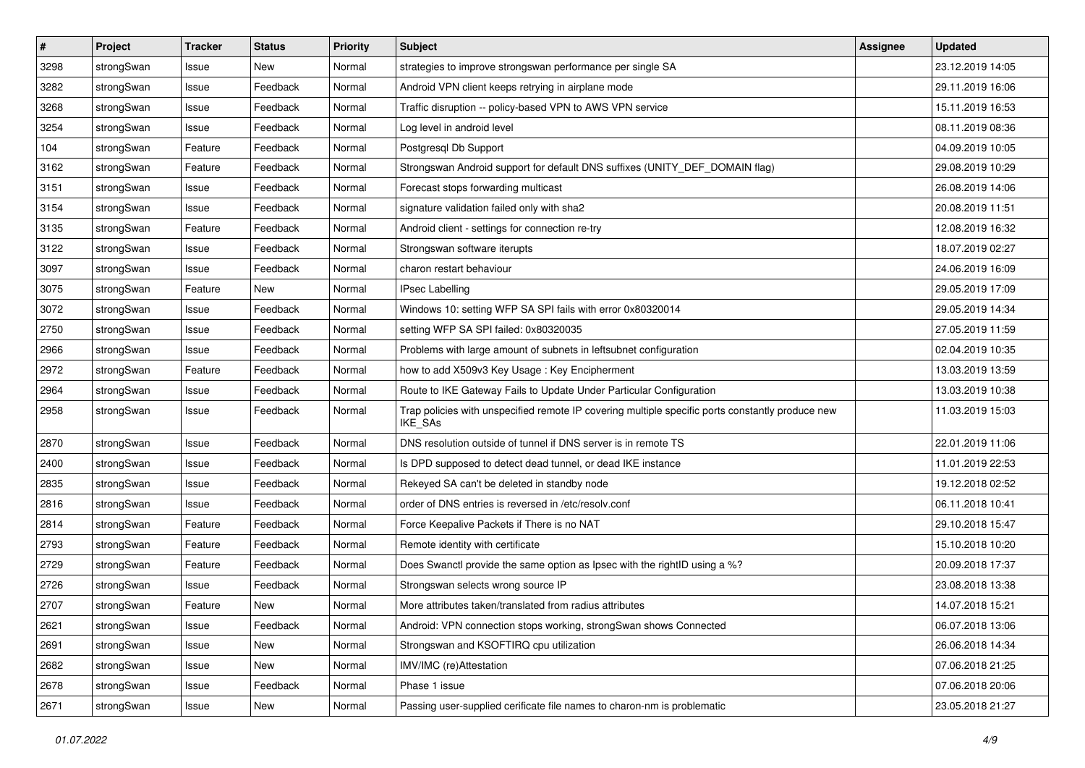| #    | Project    | <b>Tracker</b> | <b>Status</b> | <b>Priority</b> | <b>Subject</b>                                                                                              | <b>Assignee</b> | <b>Updated</b>   |
|------|------------|----------------|---------------|-----------------|-------------------------------------------------------------------------------------------------------------|-----------------|------------------|
| 3298 | strongSwan | Issue          | New           | Normal          | strategies to improve strongswan performance per single SA                                                  |                 | 23.12.2019 14:05 |
| 3282 | strongSwan | Issue          | Feedback      | Normal          | Android VPN client keeps retrying in airplane mode                                                          |                 | 29.11.2019 16:06 |
| 3268 | strongSwan | Issue          | Feedback      | Normal          | Traffic disruption -- policy-based VPN to AWS VPN service                                                   |                 | 15.11.2019 16:53 |
| 3254 | strongSwan | Issue          | Feedback      | Normal          | Log level in android level                                                                                  |                 | 08.11.2019 08:36 |
| 104  | strongSwan | Feature        | Feedback      | Normal          | Postgresql Db Support                                                                                       |                 | 04.09.2019 10:05 |
| 3162 | strongSwan | Feature        | Feedback      | Normal          | Strongswan Android support for default DNS suffixes (UNITY_DEF_DOMAIN flag)                                 |                 | 29.08.2019 10:29 |
| 3151 | strongSwan | Issue          | Feedback      | Normal          | Forecast stops forwarding multicast                                                                         |                 | 26.08.2019 14:06 |
| 3154 | strongSwan | Issue          | Feedback      | Normal          | signature validation failed only with sha2                                                                  |                 | 20.08.2019 11:51 |
| 3135 | strongSwan | Feature        | Feedback      | Normal          | Android client - settings for connection re-try                                                             |                 | 12.08.2019 16:32 |
| 3122 | strongSwan | Issue          | Feedback      | Normal          | Strongswan software iterupts                                                                                |                 | 18.07.2019 02:27 |
| 3097 | strongSwan | Issue          | Feedback      | Normal          | charon restart behaviour                                                                                    |                 | 24.06.2019 16:09 |
| 3075 | strongSwan | Feature        | New           | Normal          | <b>IPsec Labelling</b>                                                                                      |                 | 29.05.2019 17:09 |
| 3072 | strongSwan | Issue          | Feedback      | Normal          | Windows 10: setting WFP SA SPI fails with error 0x80320014                                                  |                 | 29.05.2019 14:34 |
| 2750 | strongSwan | Issue          | Feedback      | Normal          | setting WFP SA SPI failed: 0x80320035                                                                       |                 | 27.05.2019 11:59 |
| 2966 | strongSwan | Issue          | Feedback      | Normal          | Problems with large amount of subnets in leftsubnet configuration                                           |                 | 02.04.2019 10:35 |
| 2972 | strongSwan | Feature        | Feedback      | Normal          | how to add X509v3 Key Usage: Key Encipherment                                                               |                 | 13.03.2019 13:59 |
| 2964 | strongSwan | Issue          | Feedback      | Normal          | Route to IKE Gateway Fails to Update Under Particular Configuration                                         |                 | 13.03.2019 10:38 |
| 2958 | strongSwan | Issue          | Feedback      | Normal          | Trap policies with unspecified remote IP covering multiple specific ports constantly produce new<br>IKE_SAs |                 | 11.03.2019 15:03 |
| 2870 | strongSwan | Issue          | Feedback      | Normal          | DNS resolution outside of tunnel if DNS server is in remote TS                                              |                 | 22.01.2019 11:06 |
| 2400 | strongSwan | Issue          | Feedback      | Normal          | Is DPD supposed to detect dead tunnel, or dead IKE instance                                                 |                 | 11.01.2019 22:53 |
| 2835 | strongSwan | Issue          | Feedback      | Normal          | Rekeyed SA can't be deleted in standby node                                                                 |                 | 19.12.2018 02:52 |
| 2816 | strongSwan | Issue          | Feedback      | Normal          | order of DNS entries is reversed in /etc/resolv.conf                                                        |                 | 06.11.2018 10:41 |
| 2814 | strongSwan | Feature        | Feedback      | Normal          | Force Keepalive Packets if There is no NAT                                                                  |                 | 29.10.2018 15:47 |
| 2793 | strongSwan | Feature        | Feedback      | Normal          | Remote identity with certificate                                                                            |                 | 15.10.2018 10:20 |
| 2729 | strongSwan | Feature        | Feedback      | Normal          | Does Swanctl provide the same option as Ipsec with the rightID using a %?                                   |                 | 20.09.2018 17:37 |
| 2726 | strongSwan | Issue          | Feedback      | Normal          | Strongswan selects wrong source IP                                                                          |                 | 23.08.2018 13:38 |
| 2707 | strongSwan | Feature        | <b>New</b>    | Normal          | More attributes taken/translated from radius attributes                                                     |                 | 14.07.2018 15:21 |
| 2621 | strongSwan | Issue          | Feedback      | Normal          | Android: VPN connection stops working, strongSwan shows Connected                                           |                 | 06.07.2018 13:06 |
| 2691 | strongSwan | Issue          | New           | Normal          | Strongswan and KSOFTIRQ cpu utilization                                                                     |                 | 26.06.2018 14:34 |
| 2682 | strongSwan | Issue          | New           | Normal          | IMV/IMC (re)Attestation                                                                                     |                 | 07.06.2018 21:25 |
| 2678 | strongSwan | Issue          | Feedback      | Normal          | Phase 1 issue                                                                                               |                 | 07.06.2018 20:06 |
| 2671 | strongSwan | Issue          | New           | Normal          | Passing user-supplied cerificate file names to charon-nm is problematic                                     |                 | 23.05.2018 21:27 |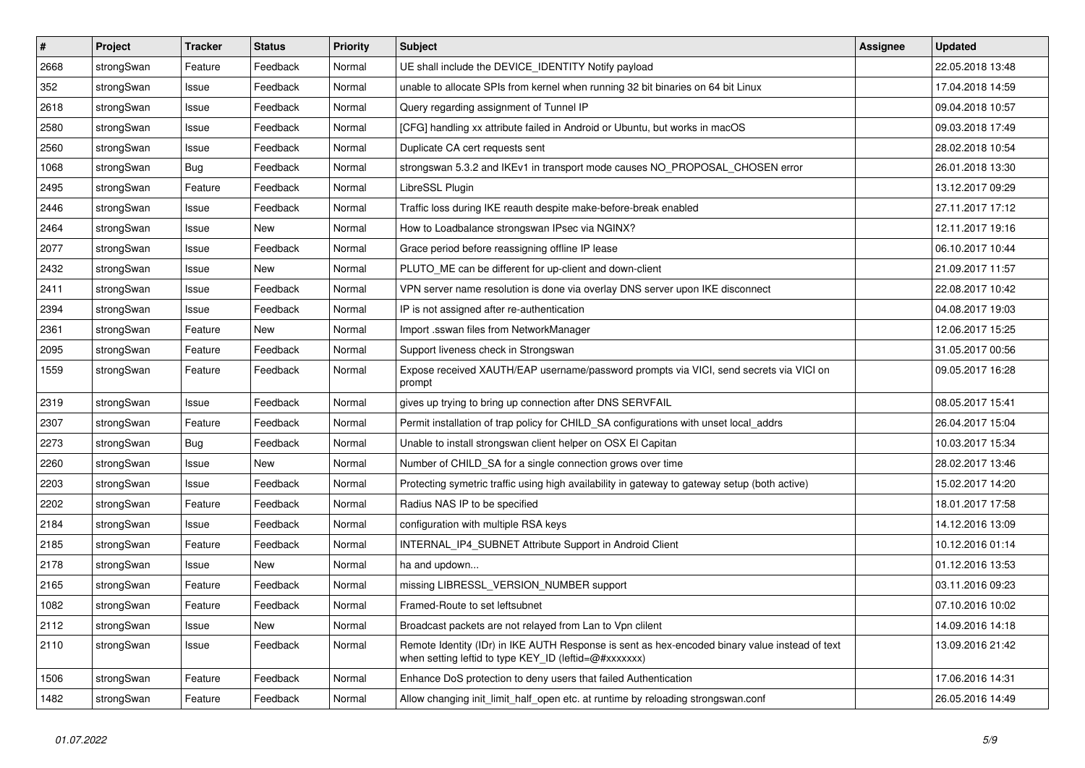| $\vert$ # | Project    | <b>Tracker</b> | <b>Status</b> | <b>Priority</b> | <b>Subject</b>                                                                                                                                          | <b>Assignee</b> | <b>Updated</b>   |
|-----------|------------|----------------|---------------|-----------------|---------------------------------------------------------------------------------------------------------------------------------------------------------|-----------------|------------------|
| 2668      | strongSwan | Feature        | Feedback      | Normal          | UE shall include the DEVICE IDENTITY Notify payload                                                                                                     |                 | 22.05.2018 13:48 |
| 352       | strongSwan | Issue          | Feedback      | Normal          | unable to allocate SPIs from kernel when running 32 bit binaries on 64 bit Linux                                                                        |                 | 17.04.2018 14:59 |
| 2618      | strongSwan | Issue          | Feedback      | Normal          | Query regarding assignment of Tunnel IP                                                                                                                 |                 | 09.04.2018 10:57 |
| 2580      | strongSwan | Issue          | Feedback      | Normal          | [CFG] handling xx attribute failed in Android or Ubuntu, but works in macOS                                                                             |                 | 09.03.2018 17:49 |
| 2560      | strongSwan | Issue          | Feedback      | Normal          | Duplicate CA cert requests sent                                                                                                                         |                 | 28.02.2018 10:54 |
| 1068      | strongSwan | <b>Bug</b>     | Feedback      | Normal          | strongswan 5.3.2 and IKEv1 in transport mode causes NO PROPOSAL CHOSEN error                                                                            |                 | 26.01.2018 13:30 |
| 2495      | strongSwan | Feature        | Feedback      | Normal          | LibreSSL Plugin                                                                                                                                         |                 | 13.12.2017 09:29 |
| 2446      | strongSwan | Issue          | Feedback      | Normal          | Traffic loss during IKE reauth despite make-before-break enabled                                                                                        |                 | 27.11.2017 17:12 |
| 2464      | strongSwan | Issue          | <b>New</b>    | Normal          | How to Loadbalance strongswan IPsec via NGINX?                                                                                                          |                 | 12.11.2017 19:16 |
| 2077      | strongSwan | Issue          | Feedback      | Normal          | Grace period before reassigning offline IP lease                                                                                                        |                 | 06.10.2017 10:44 |
| 2432      | strongSwan | Issue          | New           | Normal          | PLUTO_ME can be different for up-client and down-client                                                                                                 |                 | 21.09.2017 11:57 |
| 2411      | strongSwan | Issue          | Feedback      | Normal          | VPN server name resolution is done via overlay DNS server upon IKE disconnect                                                                           |                 | 22.08.2017 10:42 |
| 2394      | strongSwan | Issue          | Feedback      | Normal          | IP is not assigned after re-authentication                                                                                                              |                 | 04.08.2017 19:03 |
| 2361      | strongSwan | Feature        | New           | Normal          | Import .sswan files from NetworkManager                                                                                                                 |                 | 12.06.2017 15:25 |
| 2095      | strongSwan | Feature        | Feedback      | Normal          | Support liveness check in Strongswan                                                                                                                    |                 | 31.05.2017 00:56 |
| 1559      | strongSwan | Feature        | Feedback      | Normal          | Expose received XAUTH/EAP username/password prompts via VICI, send secrets via VICI on<br>prompt                                                        |                 | 09.05.2017 16:28 |
| 2319      | strongSwan | Issue          | Feedback      | Normal          | gives up trying to bring up connection after DNS SERVFAIL                                                                                               |                 | 08.05.2017 15:41 |
| 2307      | strongSwan | Feature        | Feedback      | Normal          | Permit installation of trap policy for CHILD_SA configurations with unset local_addrs                                                                   |                 | 26.04.2017 15:04 |
| 2273      | strongSwan | Bug            | Feedback      | Normal          | Unable to install strongswan client helper on OSX El Capitan                                                                                            |                 | 10.03.2017 15:34 |
| 2260      | strongSwan | Issue          | New           | Normal          | Number of CHILD SA for a single connection grows over time                                                                                              |                 | 28.02.2017 13:46 |
| 2203      | strongSwan | Issue          | Feedback      | Normal          | Protecting symetric traffic using high availability in gateway to gateway setup (both active)                                                           |                 | 15.02.2017 14:20 |
| 2202      | strongSwan | Feature        | Feedback      | Normal          | Radius NAS IP to be specified                                                                                                                           |                 | 18.01.2017 17:58 |
| 2184      | strongSwan | Issue          | Feedback      | Normal          | configuration with multiple RSA keys                                                                                                                    |                 | 14.12.2016 13:09 |
| 2185      | strongSwan | Feature        | Feedback      | Normal          | INTERNAL IP4 SUBNET Attribute Support in Android Client                                                                                                 |                 | 10.12.2016 01:14 |
| 2178      | strongSwan | Issue          | <b>New</b>    | Normal          | ha and updown                                                                                                                                           |                 | 01.12.2016 13:53 |
| 2165      | strongSwan | Feature        | Feedback      | Normal          | missing LIBRESSL_VERSION_NUMBER support                                                                                                                 |                 | 03.11.2016 09:23 |
| 1082      | strongSwan | Feature        | Feedback      | Normal          | Framed-Route to set leftsubnet                                                                                                                          |                 | 07.10.2016 10:02 |
| 2112      | strongSwan | Issue          | New           | Normal          | Broadcast packets are not relayed from Lan to Vpn clilent                                                                                               |                 | 14.09.2016 14:18 |
| 2110      | strongSwan | Issue          | Feedback      | Normal          | Remote Identity (IDr) in IKE AUTH Response is sent as hex-encoded binary value instead of text<br>when setting leftid to type KEY_ID (leftid=@#xxxxxxx) |                 | 13.09.2016 21:42 |
| 1506      | strongSwan | Feature        | Feedback      | Normal          | Enhance DoS protection to deny users that failed Authentication                                                                                         |                 | 17.06.2016 14:31 |
| 1482      | strongSwan | Feature        | Feedback      | Normal          | Allow changing init_limit_half_open etc. at runtime by reloading strongswan.conf                                                                        |                 | 26.05.2016 14:49 |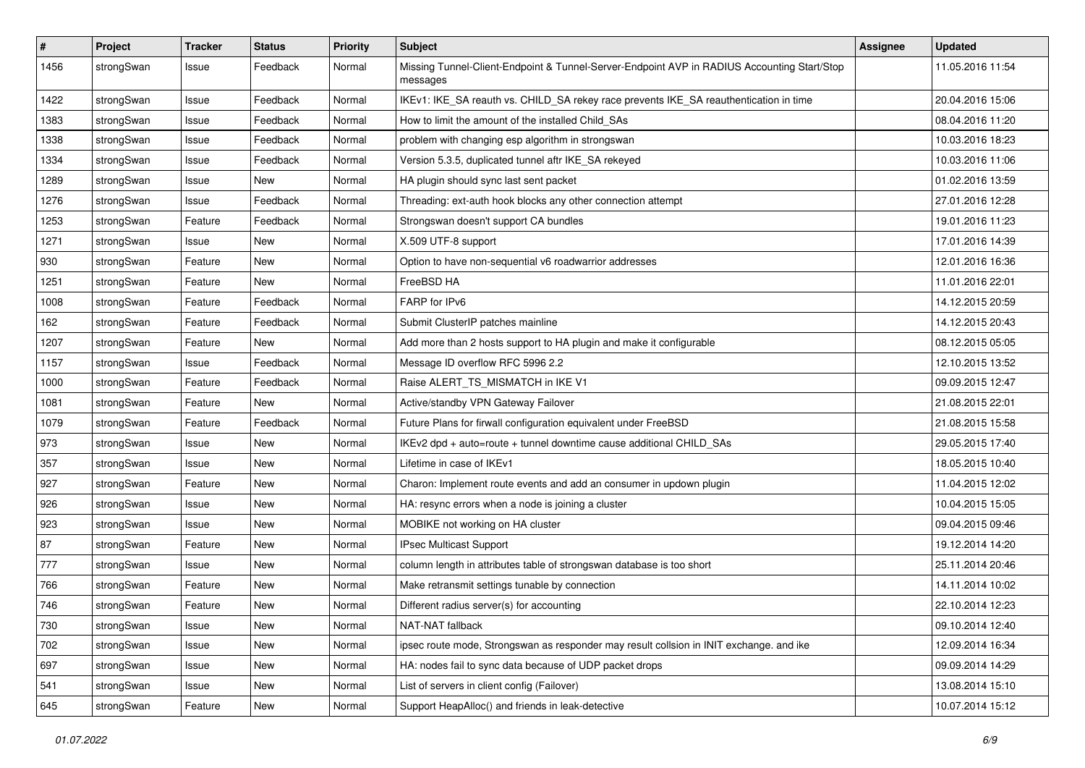| #    | Project    | <b>Tracker</b> | <b>Status</b> | <b>Priority</b> | <b>Subject</b>                                                                                          | <b>Assignee</b> | <b>Updated</b>   |
|------|------------|----------------|---------------|-----------------|---------------------------------------------------------------------------------------------------------|-----------------|------------------|
| 1456 | strongSwan | Issue          | Feedback      | Normal          | Missing Tunnel-Client-Endpoint & Tunnel-Server-Endpoint AVP in RADIUS Accounting Start/Stop<br>messages |                 | 11.05.2016 11:54 |
| 1422 | strongSwan | Issue          | Feedback      | Normal          | IKEv1: IKE_SA reauth vs. CHILD_SA rekey race prevents IKE_SA reauthentication in time                   |                 | 20.04.2016 15:06 |
| 1383 | strongSwan | Issue          | Feedback      | Normal          | How to limit the amount of the installed Child SAs                                                      |                 | 08.04.2016 11:20 |
| 1338 | strongSwan | Issue          | Feedback      | Normal          | problem with changing esp algorithm in strongswan                                                       |                 | 10.03.2016 18:23 |
| 1334 | strongSwan | Issue          | Feedback      | Normal          | Version 5.3.5, duplicated tunnel aftr IKE_SA rekeyed                                                    |                 | 10.03.2016 11:06 |
| 1289 | strongSwan | Issue          | <b>New</b>    | Normal          | HA plugin should sync last sent packet                                                                  |                 | 01.02.2016 13:59 |
| 1276 | strongSwan | Issue          | Feedback      | Normal          | Threading: ext-auth hook blocks any other connection attempt                                            |                 | 27.01.2016 12:28 |
| 1253 | strongSwan | Feature        | Feedback      | Normal          | Strongswan doesn't support CA bundles                                                                   |                 | 19.01.2016 11:23 |
| 1271 | strongSwan | Issue          | New           | Normal          | X.509 UTF-8 support                                                                                     |                 | 17.01.2016 14:39 |
| 930  | strongSwan | Feature        | <b>New</b>    | Normal          | Option to have non-sequential v6 roadwarrior addresses                                                  |                 | 12.01.2016 16:36 |
| 1251 | strongSwan | Feature        | New           | Normal          | FreeBSD HA                                                                                              |                 | 11.01.2016 22:01 |
| 1008 | strongSwan | Feature        | Feedback      | Normal          | FARP for IPv6                                                                                           |                 | 14.12.2015 20:59 |
| 162  | strongSwan | Feature        | Feedback      | Normal          | Submit ClusterIP patches mainline                                                                       |                 | 14.12.2015 20:43 |
| 1207 | strongSwan | Feature        | New           | Normal          | Add more than 2 hosts support to HA plugin and make it configurable                                     |                 | 08.12.2015 05:05 |
| 1157 | strongSwan | Issue          | Feedback      | Normal          | Message ID overflow RFC 5996 2.2                                                                        |                 | 12.10.2015 13:52 |
| 1000 | strongSwan | Feature        | Feedback      | Normal          | Raise ALERT TS MISMATCH in IKE V1                                                                       |                 | 09.09.2015 12:47 |
| 1081 | strongSwan | Feature        | New           | Normal          | Active/standby VPN Gateway Failover                                                                     |                 | 21.08.2015 22:01 |
| 1079 | strongSwan | Feature        | Feedback      | Normal          | Future Plans for firwall configuration equivalent under FreeBSD                                         |                 | 21.08.2015 15:58 |
| 973  | strongSwan | Issue          | New           | Normal          | IKEv2 dpd + auto=route + tunnel downtime cause additional CHILD_SAs                                     |                 | 29.05.2015 17:40 |
| 357  | strongSwan | Issue          | New           | Normal          | Lifetime in case of IKEv1                                                                               |                 | 18.05.2015 10:40 |
| 927  | strongSwan | Feature        | <b>New</b>    | Normal          | Charon: Implement route events and add an consumer in updown plugin                                     |                 | 11.04.2015 12:02 |
| 926  | strongSwan | Issue          | New           | Normal          | HA: resync errors when a node is joining a cluster                                                      |                 | 10.04.2015 15:05 |
| 923  | strongSwan | Issue          | New           | Normal          | MOBIKE not working on HA cluster                                                                        |                 | 09.04.2015 09:46 |
| 87   | strongSwan | Feature        | <b>New</b>    | Normal          | IPsec Multicast Support                                                                                 |                 | 19.12.2014 14:20 |
| 777  | strongSwan | Issue          | <b>New</b>    | Normal          | column length in attributes table of strongswan database is too short                                   |                 | 25.11.2014 20:46 |
| 766  | strongSwan | Feature        | New           | Normal          | Make retransmit settings tunable by connection                                                          |                 | 14.11.2014 10:02 |
| 746  | strongSwan | Feature        | New           | Normal          | Different radius server(s) for accounting                                                               |                 | 22.10.2014 12:23 |
| 730  | strongSwan | Issue          | New           | Normal          | NAT-NAT fallback                                                                                        |                 | 09.10.2014 12:40 |
| 702  | strongSwan | Issue          | New           | Normal          | ipsec route mode, Strongswan as responder may result collsion in INIT exchange. and ike                 |                 | 12.09.2014 16:34 |
| 697  | strongSwan | Issue          | New           | Normal          | HA: nodes fail to sync data because of UDP packet drops                                                 |                 | 09.09.2014 14:29 |
| 541  | strongSwan | Issue          | New           | Normal          | List of servers in client config (Failover)                                                             |                 | 13.08.2014 15:10 |
| 645  | strongSwan | Feature        | New           | Normal          | Support HeapAlloc() and friends in leak-detective                                                       |                 | 10.07.2014 15:12 |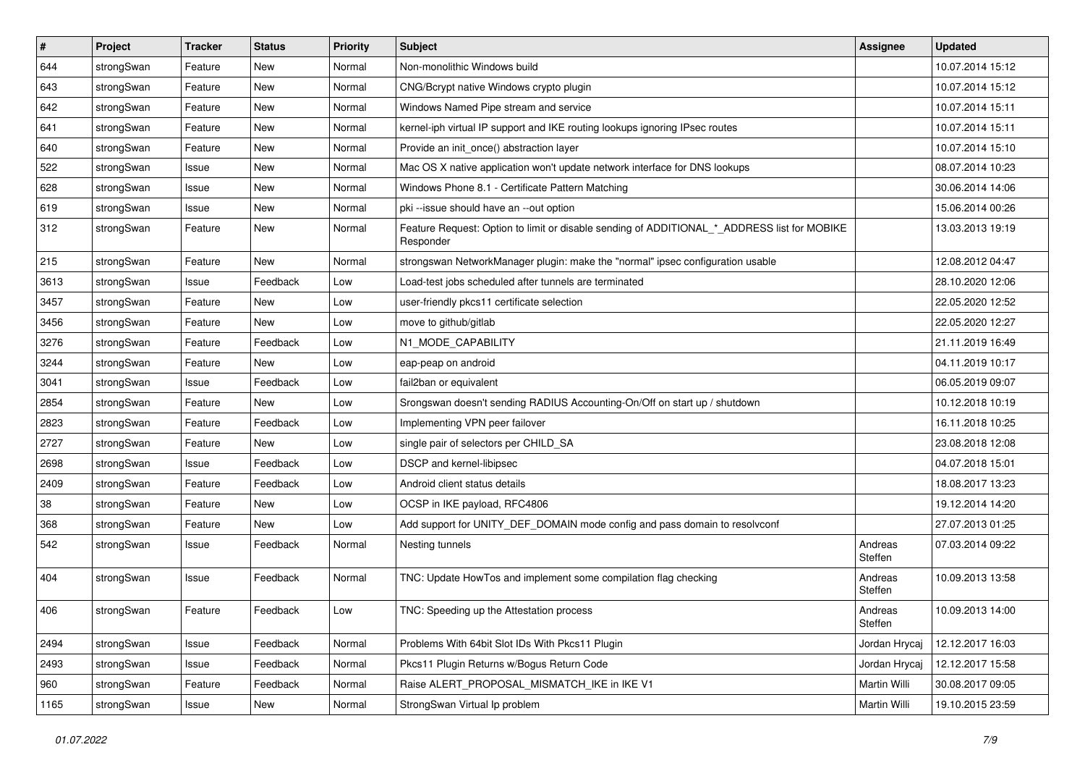| $\vert$ # | Project    | <b>Tracker</b> | <b>Status</b> | <b>Priority</b> | Subject                                                                                                  | <b>Assignee</b>    | <b>Updated</b>   |
|-----------|------------|----------------|---------------|-----------------|----------------------------------------------------------------------------------------------------------|--------------------|------------------|
| 644       | strongSwan | Feature        | New           | Normal          | Non-monolithic Windows build                                                                             |                    | 10.07.2014 15:12 |
| 643       | strongSwan | Feature        | <b>New</b>    | Normal          | CNG/Bcrypt native Windows crypto plugin                                                                  |                    | 10.07.2014 15:12 |
| 642       | strongSwan | Feature        | New           | Normal          | Windows Named Pipe stream and service                                                                    |                    | 10.07.2014 15:11 |
| 641       | strongSwan | Feature        | New           | Normal          | kernel-iph virtual IP support and IKE routing lookups ignoring IPsec routes                              |                    | 10.07.2014 15:11 |
| 640       | strongSwan | Feature        | New           | Normal          | Provide an init_once() abstraction layer                                                                 |                    | 10.07.2014 15:10 |
| 522       | strongSwan | Issue          | <b>New</b>    | Normal          | Mac OS X native application won't update network interface for DNS lookups                               |                    | 08.07.2014 10:23 |
| 628       | strongSwan | Issue          | New           | Normal          | Windows Phone 8.1 - Certificate Pattern Matching                                                         |                    | 30.06.2014 14:06 |
| 619       | strongSwan | Issue          | <b>New</b>    | Normal          | pki --issue should have an --out option                                                                  |                    | 15.06.2014 00:26 |
| 312       | strongSwan | Feature        | New           | Normal          | Feature Request: Option to limit or disable sending of ADDITIONAL_*_ADDRESS list for MOBIKE<br>Responder |                    | 13.03.2013 19:19 |
| 215       | strongSwan | Feature        | <b>New</b>    | Normal          | strongswan NetworkManager plugin: make the "normal" ipsec configuration usable                           |                    | 12.08.2012 04:47 |
| 3613      | strongSwan | Issue          | Feedback      | Low             | Load-test jobs scheduled after tunnels are terminated                                                    |                    | 28.10.2020 12:06 |
| 3457      | strongSwan | Feature        | New           | Low             | user-friendly pkcs11 certificate selection                                                               |                    | 22.05.2020 12:52 |
| 3456      | strongSwan | Feature        | New           | Low             | move to github/gitlab                                                                                    |                    | 22.05.2020 12:27 |
| 3276      | strongSwan | Feature        | Feedback      | Low             | N1_MODE_CAPABILITY                                                                                       |                    | 21.11.2019 16:49 |
| 3244      | strongSwan | Feature        | New           | Low             | eap-peap on android                                                                                      |                    | 04.11.2019 10:17 |
| 3041      | strongSwan | Issue          | Feedback      | Low             | fail2ban or equivalent                                                                                   |                    | 06.05.2019 09:07 |
| 2854      | strongSwan | Feature        | New           | Low             | Srongswan doesn't sending RADIUS Accounting-On/Off on start up / shutdown                                |                    | 10.12.2018 10:19 |
| 2823      | strongSwan | Feature        | Feedback      | Low             | Implementing VPN peer failover                                                                           |                    | 16.11.2018 10:25 |
| 2727      | strongSwan | Feature        | New           | Low             | single pair of selectors per CHILD_SA                                                                    |                    | 23.08.2018 12:08 |
| 2698      | strongSwan | Issue          | Feedback      | Low             | DSCP and kernel-libipsec                                                                                 |                    | 04.07.2018 15:01 |
| 2409      | strongSwan | Feature        | Feedback      | Low             | Android client status details                                                                            |                    | 18.08.2017 13:23 |
| 38        | strongSwan | Feature        | New           | Low             | OCSP in IKE payload, RFC4806                                                                             |                    | 19.12.2014 14:20 |
| 368       | strongSwan | Feature        | New           | Low             | Add support for UNITY_DEF_DOMAIN mode config and pass domain to resolvconf                               |                    | 27.07.2013 01:25 |
| 542       | strongSwan | Issue          | Feedback      | Normal          | Nesting tunnels                                                                                          | Andreas<br>Steffen | 07.03.2014 09:22 |
| 404       | strongSwan | Issue          | Feedback      | Normal          | TNC: Update HowTos and implement some compilation flag checking                                          | Andreas<br>Steffen | 10.09.2013 13:58 |
| 406       | strongSwan | Feature        | Feedback      | Low             | TNC: Speeding up the Attestation process                                                                 | Andreas<br>Steffen | 10.09.2013 14:00 |
| 2494      | strongSwan | Issue          | Feedback      | Normal          | Problems With 64bit Slot IDs With Pkcs11 Plugin                                                          | Jordan Hrycaj      | 12.12.2017 16:03 |
| 2493      | strongSwan | Issue          | Feedback      | Normal          | Pkcs11 Plugin Returns w/Bogus Return Code                                                                | Jordan Hrycaj      | 12.12.2017 15:58 |
| 960       | strongSwan | Feature        | Feedback      | Normal          | Raise ALERT PROPOSAL MISMATCH IKE in IKE V1                                                              | Martin Willi       | 30.08.2017 09:05 |
| 1165      | strongSwan | Issue          | New           | Normal          | StrongSwan Virtual Ip problem                                                                            | Martin Willi       | 19.10.2015 23:59 |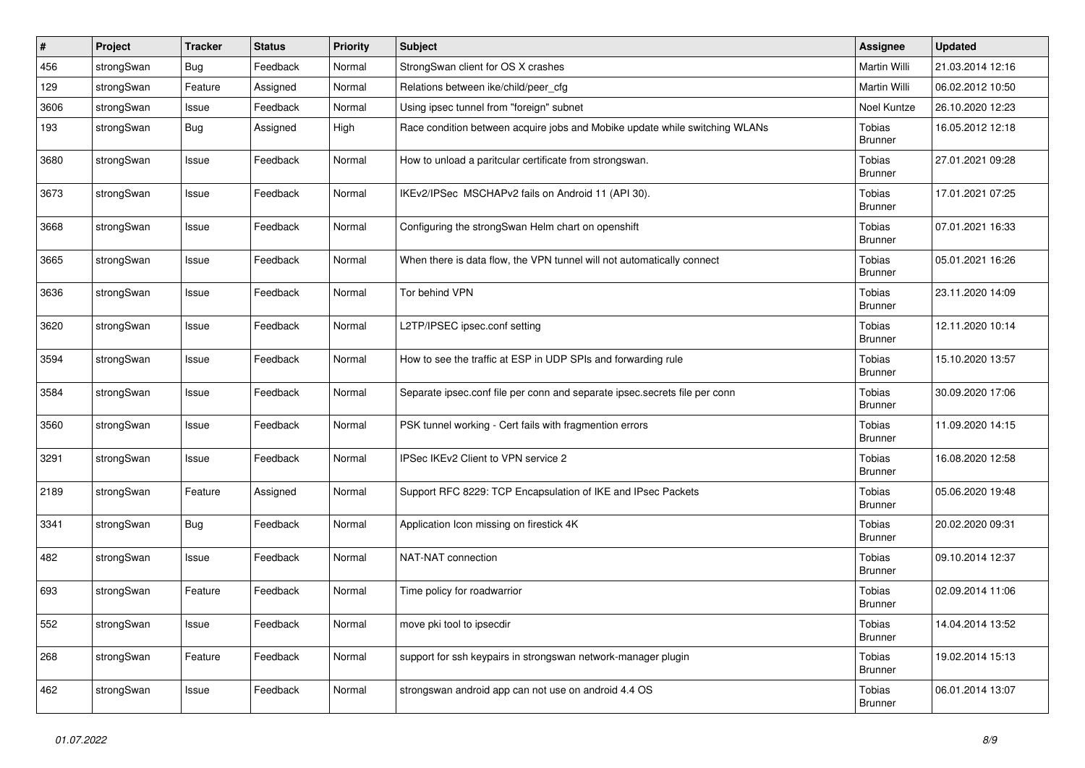| #    | Project    | <b>Tracker</b> | <b>Status</b> | <b>Priority</b> | <b>Subject</b>                                                              | Assignee                        | <b>Updated</b>   |
|------|------------|----------------|---------------|-----------------|-----------------------------------------------------------------------------|---------------------------------|------------------|
| 456  | strongSwan | Bug            | Feedback      | Normal          | StrongSwan client for OS X crashes                                          | Martin Willi                    | 21.03.2014 12:16 |
| 129  | strongSwan | Feature        | Assigned      | Normal          | Relations between ike/child/peer_cfg                                        | Martin Willi                    | 06.02.2012 10:50 |
| 3606 | strongSwan | Issue          | Feedback      | Normal          | Using ipsec tunnel from "foreign" subnet                                    | Noel Kuntze                     | 26.10.2020 12:23 |
| 193  | strongSwan | Bug            | Assigned      | High            | Race condition between acquire jobs and Mobike update while switching WLANs | Tobias<br>Brunner               | 16.05.2012 12:18 |
| 3680 | strongSwan | Issue          | Feedback      | Normal          | How to unload a paritcular certificate from strongswan.                     | Tobias<br><b>Brunner</b>        | 27.01.2021 09:28 |
| 3673 | strongSwan | Issue          | Feedback      | Normal          | IKEv2/IPSec MSCHAPv2 fails on Android 11 (API 30).                          | Tobias<br><b>Brunner</b>        | 17.01.2021 07:25 |
| 3668 | strongSwan | Issue          | Feedback      | Normal          | Configuring the strongSwan Helm chart on openshift                          | Tobias<br><b>Brunner</b>        | 07.01.2021 16:33 |
| 3665 | strongSwan | Issue          | Feedback      | Normal          | When there is data flow, the VPN tunnel will not automatically connect      | Tobias<br><b>Brunner</b>        | 05.01.2021 16:26 |
| 3636 | strongSwan | Issue          | Feedback      | Normal          | Tor behind VPN                                                              | Tobias<br><b>Brunner</b>        | 23.11.2020 14:09 |
| 3620 | strongSwan | Issue          | Feedback      | Normal          | L2TP/IPSEC ipsec.conf setting                                               | Tobias<br><b>Brunner</b>        | 12.11.2020 10:14 |
| 3594 | strongSwan | Issue          | Feedback      | Normal          | How to see the traffic at ESP in UDP SPIs and forwarding rule               | Tobias<br><b>Brunner</b>        | 15.10.2020 13:57 |
| 3584 | strongSwan | Issue          | Feedback      | Normal          | Separate ipsec.conf file per conn and separate ipsec.secrets file per conn  | Tobias<br><b>Brunner</b>        | 30.09.2020 17:06 |
| 3560 | strongSwan | Issue          | Feedback      | Normal          | PSK tunnel working - Cert fails with fragmention errors                     | Tobias<br><b>Brunner</b>        | 11.09.2020 14:15 |
| 3291 | strongSwan | Issue          | Feedback      | Normal          | IPSec IKEv2 Client to VPN service 2                                         | Tobias<br><b>Brunner</b>        | 16.08.2020 12:58 |
| 2189 | strongSwan | Feature        | Assigned      | Normal          | Support RFC 8229: TCP Encapsulation of IKE and IPsec Packets                | Tobias<br><b>Brunner</b>        | 05.06.2020 19:48 |
| 3341 | strongSwan | Bug            | Feedback      | Normal          | Application Icon missing on firestick 4K                                    | Tobias<br><b>Brunner</b>        | 20.02.2020 09:31 |
| 482  | strongSwan | Issue          | Feedback      | Normal          | NAT-NAT connection                                                          | Tobias<br><b>Brunner</b>        | 09.10.2014 12:37 |
| 693  | strongSwan | Feature        | Feedback      | Normal          | Time policy for roadwarrior                                                 | Tobias<br><b>Brunner</b>        | 02.09.2014 11:06 |
| 552  | strongSwan | Issue          | Feedback      | Normal          | move pki tool to ipsecdir                                                   | Tobias<br><b>Brunner</b>        | 14.04.2014 13:52 |
| 268  | strongSwan | Feature        | Feedback      | Normal          | support for ssh keypairs in strongswan network-manager plugin               | Tobias<br><b>Brunner</b>        | 19.02.2014 15:13 |
| 462  | strongSwan | Issue          | Feedback      | Normal          | strongswan android app can not use on android 4.4 OS                        | <b>Tobias</b><br><b>Brunner</b> | 06.01.2014 13:07 |